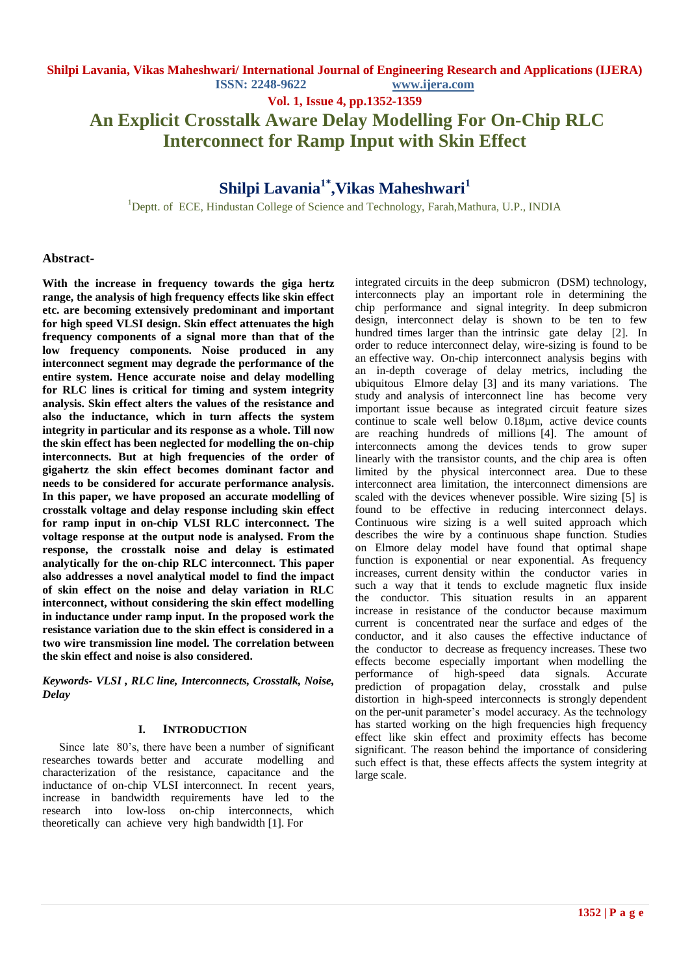**Vol. 1, Issue 4, pp.1352-1359**

# **An Explicit Crosstalk Aware Delay Modelling For On-Chip RLC Interconnect for Ramp Input with Skin Effect**

# **Shilpi Lavania1\*,Vikas Maheshwari<sup>1</sup>**

<sup>1</sup>Deptt. of ECE, Hindustan College of Science and Technology, Farah,Mathura, U.P., INDIA

#### **Abstract-**

**With the increase in frequency towards the giga hertz range, the analysis of high frequency effects like skin effect etc. are becoming extensively predominant and important for high speed VLSI design. Skin effect attenuates the high frequency components of a signal more than that of the low frequency components. Noise produced in any interconnect segment may degrade the performance of the entire system. Hence accurate noise and delay modelling for RLC lines is critical for timing and system integrity analysis. Skin effect alters the values of the resistance and also the inductance, which in turn affects the system integrity in particular and its response as a whole. Till now the skin effect has been neglected for modelling the on-chip interconnects. But at high frequencies of the order of gigahertz the skin effect becomes dominant factor and needs to be considered for accurate performance analysis. In this paper, we have proposed an accurate modelling of crosstalk voltage and delay response including skin effect for ramp input in on-chip VLSI RLC interconnect. The voltage response at the output node is analysed. From the response, the crosstalk noise and delay is estimated analytically for the on-chip RLC interconnect. This paper also addresses a novel analytical model to find the impact of skin effect on the noise and delay variation in RLC interconnect, without considering the skin effect modelling in inductance under ramp input. In the proposed work the resistance variation due to the skin effect is considered in a two wire transmission line model. The correlation between the skin effect and noise is also considered.**

*Keywords- VLSI , RLC line, Interconnects, Crosstalk, Noise, Delay*

#### **I. INTRODUCTION**

Since late 80's, there have been a number of significant researches towards better and accurate modelling and characterization of the resistance, capacitance and the inductance of on-chip VLSI interconnect. In recent years, increase in bandwidth requirements have led to the research into low-loss on-chip interconnects, which theoretically can achieve very high bandwidth [1]. For

integrated circuits in the deep submicron (DSM) technology, interconnects play an important role in determining the chip performance and signal integrity. In deep submicron design, interconnect delay is shown to be ten to few hundred times larger than the intrinsic gate delay [2]. In order to reduce interconnect delay, wire-sizing is found to be an effective way. On-chip interconnect analysis begins with an in-depth coverage of delay metrics, including the ubiquitous Elmore delay [3] and its many variations. The study and analysis of interconnect line has become very important issue because as integrated circuit feature sizes continue to scale well below 0.18µm, active device counts are reaching hundreds of millions [4]. The amount of interconnects among the devices tends to grow super linearly with the transistor counts, and the chip area is often limited by the physical interconnect area. Due to these interconnect area limitation, the interconnect dimensions are scaled with the devices whenever possible. Wire sizing [5] is found to be effective in reducing interconnect delays. Continuous wire sizing is a well suited approach which describes the wire by a continuous shape function. Studies on Elmore delay model have found that optimal shape function is exponential or near exponential. As frequency increases, current density within the conductor varies in such a way that it tends to exclude magnetic flux inside the conductor. This situation results in an apparent increase in resistance of the conductor because maximum current is concentrated near the surface and edges of the conductor, and it also causes the effective inductance of the conductor to decrease as frequency increases. These two effects become especially important when modelling the performance of high-speed data signals. Accurate prediction of propagation delay, crosstalk and pulse distortion in high-speed interconnects is strongly dependent on the per-unit parameter"s model accuracy. As the technology has started working on the high frequencies high frequency effect like skin effect and proximity effects has become significant. The reason behind the importance of considering such effect is that, these effects affects the system integrity at large scale.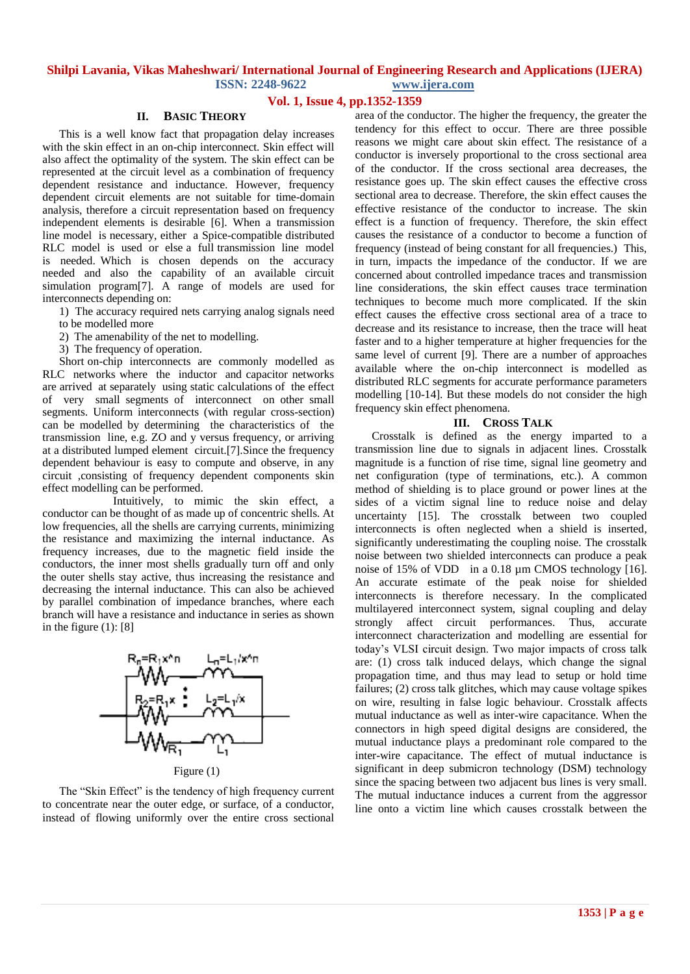### **Vol. 1, Issue 4, pp.1352-1359**

#### **II. BASIC THEORY**

This is a well know fact that propagation delay increases with the skin effect in an on-chip interconnect. Skin effect will also affect the optimality of the system. The skin effect can be represented at the circuit level as a combination of frequency dependent resistance and inductance. However, frequency dependent circuit elements are not suitable for time-domain analysis, therefore a circuit representation based on frequency independent elements is desirable [6]. When a transmission line model is necessary, either a Spice-compatible distributed RLC model is used or else a full transmission line model is needed. Which is chosen depends on the accuracy needed and also the capability of an available circuit simulation program[7]. A range of models are used for interconnects depending on:

1) The accuracy required nets carrying analog signals need

- to be modelled more
- 2) The amenability of the net to modelling.
- 3) The frequency of operation.

Short on-chip interconnects are commonly modelled as RLC networks where the inductor and capacitor networks are arrived at separately using static calculations of the effect of very small segments of interconnect on other small segments. Uniform interconnects (with regular cross-section) can be modelled by determining the characteristics of the transmission line, e.g. ZO and y versus frequency, or arriving at a distributed lumped element circuit.[7].Since the frequency dependent behaviour is easy to compute and observe, in any circuit ,consisting of frequency dependent components skin effect modelling can be performed.

 Intuitively, to mimic the skin effect, a conductor can be thought of as made up of concentric shells. At low frequencies, all the shells are carrying currents, minimizing the resistance and maximizing the internal inductance. As frequency increases, due to the magnetic field inside the conductors, the inner most shells gradually turn off and only the outer shells stay active, thus increasing the resistance and decreasing the internal inductance. This can also be achieved by parallel combination of impedance branches, where each branch will have a resistance and inductance in series as shown in the figure  $(1)$ : [8]



The "Skin Effect" is the tendency of high frequency current to concentrate near the outer edge, or surface, of a conductor, instead of flowing uniformly over the entire cross sectional area of the conductor. The higher the frequency, the greater the tendency for this effect to occur. There are three possible reasons we might care about skin effect. The resistance of a conductor is inversely proportional to the cross sectional area of the conductor. If the cross sectional area decreases, the resistance goes up. The skin effect causes the effective cross sectional area to decrease. Therefore, the skin effect causes the effective resistance of the conductor to increase. The skin effect is a function of frequency. Therefore, the skin effect causes the resistance of a conductor to become a function of frequency (instead of being constant for all frequencies.) This, in turn, impacts the impedance of the conductor. If we are concerned about controlled impedance traces and transmission line considerations, the skin effect causes trace termination techniques to become much more complicated. If the skin effect causes the effective cross sectional area of a trace to decrease and its resistance to increase, then the trace will heat faster and to a higher temperature at higher frequencies for the same level of current [9]. There are a number of approaches available where the on-chip interconnect is modelled as distributed RLC segments for accurate performance parameters modelling [10-14]. But these models do not consider the high frequency skin effect phenomena.

#### **III. CROSS TALK**

Crosstalk is defined as the energy imparted to a transmission line due to signals in adjacent lines. Crosstalk magnitude is a function of rise time, signal line geometry and net configuration (type of terminations, etc.). A common method of shielding is to place ground or power lines at the sides of a victim signal line to reduce noise and delay uncertainty [15]. The crosstalk between two coupled interconnects is often neglected when a shield is inserted, significantly underestimating the coupling noise. The crosstalk noise between two shielded interconnects can produce a peak noise of 15% of VDD in a 0.18  $\mu$ m CMOS technology [16]. An accurate estimate of the peak noise for shielded interconnects is therefore necessary. In the complicated multilayered interconnect system, signal coupling and delay strongly affect circuit performances. Thus, accurate interconnect characterization and modelling are essential for today"s VLSI circuit design. Two major impacts of cross talk are: (1) cross talk induced delays, which change the signal propagation time, and thus may lead to setup or hold time failures; (2) cross talk glitches, which may cause voltage spikes on wire, resulting in false logic behaviour. Crosstalk affects mutual inductance as well as inter-wire capacitance. When the connectors in high speed digital designs are considered, the mutual inductance plays a predominant role compared to the inter-wire capacitance. The effect of mutual inductance is significant in deep submicron technology (DSM) technology since the spacing between two adjacent bus lines is very small. The mutual inductance induces a current from the aggressor line onto a victim line which causes crosstalk between the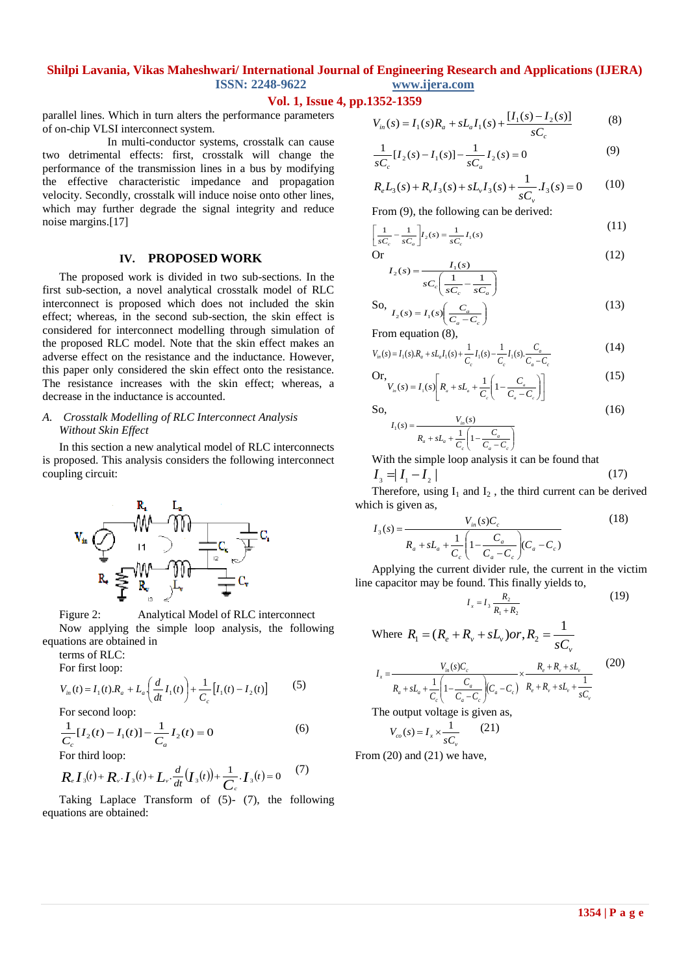**Vol. 1, Issue 4, pp.1352-1359**

parallel lines. Which in turn alters the performance parameters of on-chip VLSI interconnect system.

 In multi-conductor systems, crosstalk can cause two detrimental effects: first, crosstalk will change the performance of the transmission lines in a bus by modifying the effective characteristic impedance and propagation velocity. Secondly, crosstalk will induce noise onto other lines, which may further degrade the signal integrity and reduce noise margins.[17]

### **IV. PROPOSED WORK**

The proposed work is divided in two sub-sections. In the first sub-section, a novel analytical crosstalk model of RLC interconnect is proposed which does not included the skin effect; whereas, in the second sub-section, the skin effect is considered for interconnect modelling through simulation of the proposed RLC model. Note that the skin effect makes an adverse effect on the resistance and the inductance. However, this paper only considered the skin effect onto the resistance. The resistance increases with the skin effect; whereas, a decrease in the inductance is accounted.

#### *A. Crosstalk Modelling of RLC Interconnect Analysis Without Skin Effect*

In this section a new analytical model of RLC interconnects is proposed. This analysis considers the following interconnect coupling circuit:



Figure 2: Analytical Model of RLC interconnect Now applying the simple loop analysis, the following equations are obtained in

terms of RLC: For first loop:

$$
V_{in}(t) = I_1(t) \cdot R_a + L_a \left(\frac{d}{dt} I_1(t)\right) + \frac{1}{C_c} \left[I_1(t) - I_2(t)\right] \tag{5}
$$

For second loop:

$$
\frac{1}{C_c} [I_2(t) - I_1(t)] - \frac{1}{C_a} I_2(t) = 0
$$
\n(6)

For third loop:

$$
R_{e} I_{3}(t) + R_{v} I_{3}(t) + L_{v} \frac{d}{dt} (I_{3}(t)) + \frac{1}{C_{c}} I_{3}(t) = 0
$$
 (7)

Taking Laplace Transform of (5)- (7), the following equations are obtained:

$$
V_{in}(s) = I_1(s)R_a + sL_a I_1(s) + \frac{[I_1(s) - I_2(s)]}{sC_c}
$$
 (8)

$$
\frac{1}{sC_c}[I_2(s) - I_1(s)] - \frac{1}{sC_a}I_2(s) = 0
$$
\n(9)

$$
R_e L_3(s) + R_v I_3(s) + sL_v I_3(s) + \frac{1}{sC_v} I_3(s) = 0 \tag{10}
$$

From (9), the following can be derived:

$$
\left[\frac{1}{sC_c} - \frac{1}{sC_a}\right]I_2(s) = \frac{1}{sC_c}I_1(s)
$$
\n(11)

Or  

$$
I_2(s) = \frac{I_1(s)}{sC_c \left(\frac{1}{sC_c} - \frac{1}{sC_a}\right)}
$$
(12)

So,  

$$
I_2(s) = I_1(s) \left( \frac{C_a}{C_a - C_c} \right)
$$
(13)

From equation (8),

$$
V_{in}(s) = I_1(s) \cdot R_a + sL_a I_1(s) + \frac{1}{C_c} I_1(s) - \frac{1}{C_c} I_1(s) \cdot \frac{C_a}{C_a - C_c}
$$
(14)

Or,  

$$
V_{u}(s) = I_{1}(s) \left[ R_{a} + sL_{a} + \frac{1}{C_{c}} \left( 1 - \frac{C_{a}}{C_{a} - C_{c}} \right) \right]
$$
(15)

So,

$$
I_1(s) = \frac{V_{in}(s)}{R_a + sL_a + \frac{1}{C_c} \left(1 - \frac{C_a}{C_a - C_c}\right)}
$$

With the simple loop analysis it can be found that

$$
I_{3} = |I_{1} - I_{2}| \tag{17}
$$

Therefore, using  $I_1$  and  $I_2$ , the third current can be derived which is given as,

$$
I_{3}(s) = \frac{V_{in}(s)C_{c}}{R_{a} + sL_{a} + \frac{1}{C_{c}} \left(1 - \frac{C_{a}}{C_{a} - C_{c}}\right)(C_{a} - C_{c})}
$$
(18)

Applying the current divider rule, the current in the victim line capacitor may be found. This finally yields to,

$$
I_x = I_3 \frac{R_2}{R_1 + R_2} \tag{19}
$$

(16)

Where 
$$
R_1 = (R_e + R_v + sL_v) \text{ or, } R_2 = \frac{1}{sC_v}
$$
  
\n
$$
I_x = \frac{V_m(s)C_c}{R_a + sL_a + \frac{1}{C_c} \left(1 - \frac{C_a}{C_a - C_c}\right) (C_a - C_c)} \times \frac{R_e + R_v + sL_v + \frac{1}{sC_v}}{R_e + R_v + sL_v + \frac{1}{sC_v}}
$$
\n(20)

The output voltage is given as,

$$
V_{co}(s) = I_x \times \frac{1}{sC_v} \qquad (21)
$$

From (20) and (21) we have,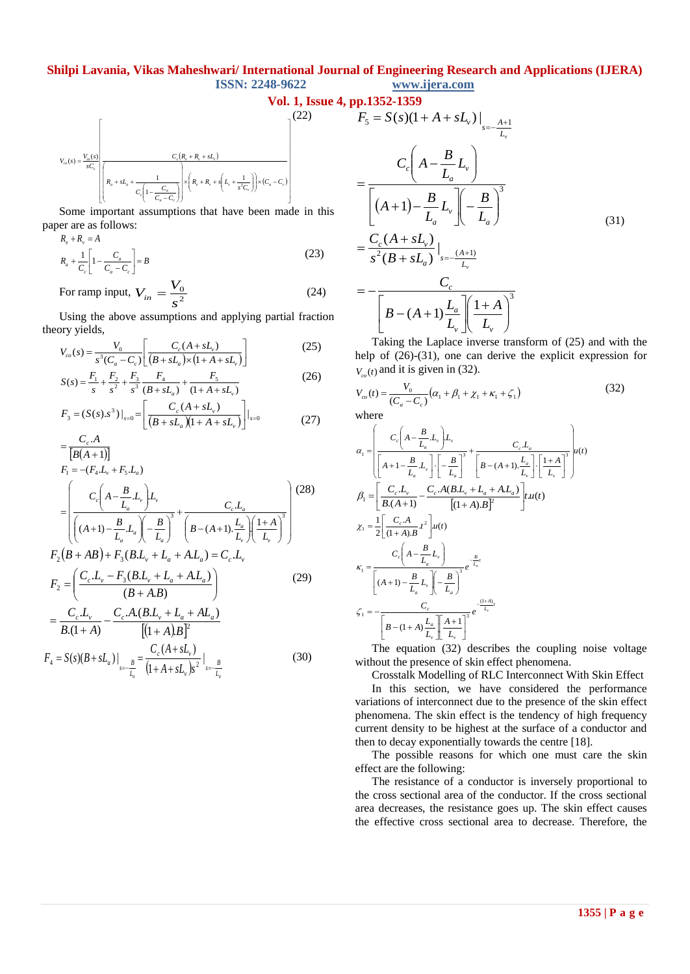$$
\text{Vol. 1, Issue 4, pp.1352-1359}
$$
\n
$$
V_{\omega}(s) = \frac{V_{\omega}(s)}{sC_{\omega}} \left[ \frac{C_{\omega}(R_{\omega} + R_{\omega} + sL_{\omega})}{C_{\omega}(1 - \frac{C_{\omega}}{C_{\omega} - C_{\omega}})} \right]^{(22)} F_{5} = S(s)(1 - \frac{C_{\omega}(R_{\omega} + R_{\omega} + sL_{\omega})}{C_{\omega}(1 - \frac{C_{\omega}}{C_{\omega} - C_{\omega}})} = \frac{C_{\omega}(1 - \frac{C_{\omega}}{C_{\omega} - C_{\omega}})}{C_{\omega}(1 - \frac{C_{\omega}}{C_{\omega} - C_{\omega}})}
$$

Some important assumptions that have been made in this paper are as follows:

$$
R_e + R_v = A
$$
  
\n
$$
R_a + \frac{1}{C_e} \left[ 1 - \frac{C_a}{C_a - C_c} \right] = B
$$
\n(23)

For ramp input,  $V_{in} = \frac{V_0}{c^2}$  $\overline{0}$ *s*  $V_{in} = \frac{V_0}{c^2}$  (24)

Using the above assumptions and applying partial fraction theory yields,

$$
V_{co}(s) = \frac{V_0}{s^3 (C_a - C_c)} \left[ \frac{C_c (A + sL_v)}{(B + sL_a) \times (1 + A + sL_v)} \right]
$$
(25)

$$
S(s) = \frac{F_1}{s} + \frac{F_2}{s^2} + \frac{F_3}{s^3} \frac{F_4}{(B + sL_a)} + \frac{F_5}{(1 + A + sL_v)}
$$
(26)

$$
F_3 = (S(s).s^3)|_{s=0} = \left[ \frac{C_c(A + sL_v)}{(B + sL_a)(1 + A + sL_v)} \right]|_{s=0}
$$
 (27)

$$
= \frac{C_c.A}{[B(A+1)]}
$$
  
\n
$$
F_1 = -(F_4.L_v + F_5.L_a)
$$
  
\n
$$
= \left(\frac{C_c\left(A - \frac{B}{L_a}L_v\right)L_v}{\left((A+1) - \frac{B}{L_a}L_a\right)\left(-\frac{B}{L_a}\right)^3} + \frac{C_c.L_a}{\left(B - (A+1) \cdot \frac{L_a}{L_v}\right)\left(\frac{1+A}{L_v}\right)^3}\right)
$$
  
\n
$$
F_2(B+AB) + F_3(B.L_v + L_a + A.L_a) = C_c.L_v
$$
  
\n
$$
F_2 = \left(\frac{C_c.L_v - F_3(B.L_v + L_a + A.L_a)}{(B+AB)}\right)
$$
 (29)

$$
= \frac{C_c L_v}{B(1+A)} - \frac{C_c A(B.L_v + L_a + AL_a)}{[(1+A)B]^2}
$$
  

$$
C_c(A + sL_v)
$$
 (20)

$$
F_4 = S(s)(B + sL_a)|_{s = -\frac{B}{L_a}} = \frac{C_c(A + sL_v)}{(1 + A + sL_v)s^2}|_{s = -\frac{B}{L_a}}
$$
(30)

$$
F_5 = S(s)(1 + A + sL_v)|_{s = -\frac{A+1}{L_v}}
$$
  
= 
$$
\frac{C_c \left(A - \frac{B}{L_a}L_v\right)}{\left[(A+1) - \frac{B}{L_a}L_v\right] \left(-\frac{B}{L_a}\right)^3}
$$
  
= 
$$
\frac{C_c (A + sL_v)}{s^2 (B + sL_a)}|_{s = -\frac{(A+1)}{L_v}}
$$
  
= 
$$
-\frac{C_c}{\left[B - (A+1)\frac{L_a}{L_v}\right] \left(\frac{1+A}{L_v}\right)^3}
$$
 (31)

Taking the Laplace inverse transform of (25) and with the help of  $(26)-(31)$ , one can derive the explicit expression for  $V_{co}(t)$  and it is given in (32).

$$
V_{\infty}(t) = \frac{V_0}{(C_a - C_c)} (\alpha_1 + \beta_1 + \chi_1 + \kappa_1 + \zeta_1)
$$
 (32)

where

$$
\alpha_{1} = \left(\frac{C_{c}\left(A - \frac{B}{L_{a}} L_{v}\right)L_{v}}{\left[A + 1 - \frac{B}{L_{a}} L_{v}\right]\cdot\left[-\frac{B}{L_{a}}\right]^{3}} + \frac{C_{c} L_{a}}{\left[B - (A + 1), \frac{L_{a}}{L_{v}}\right]\cdot\left[\frac{1 + A}{L_{v}}\right]^{3}}\right)u(t)
$$
\n
$$
\beta_{1} = \left[\frac{C_{c} L_{v}}{B.(A + 1)} - \frac{C_{c} A (B.L_{v} + L_{a} + A.L_{a})}{\left[(1 + A)B\right]^{2}}\right]t.u(t)
$$
\n
$$
\chi_{1} = \frac{1}{2}\left[\frac{C_{c} A}{(1 + A)B}t^{2}\right]u(t)
$$
\n
$$
\kappa_{1} = \frac{C_{c}\left(A - \frac{B}{L_{a}} L_{v}\right)}{\left[(A + 1) - \frac{B}{L_{a}} L_{v}\right]\left(-\frac{B}{L_{a}}\right)^{3}}e^{-\frac{B}{L_{a}}t}
$$
\n
$$
\zeta_{1} = -\frac{C_{c}}{\left[B - (1 + A)\frac{L_{a}}{L_{v}}\right]\left(\frac{A + 1}{L_{v}}\right)^{3}}e^{-\frac{(1 + A)}{L_{v}}t}
$$

The equation (32) describes the coupling noise voltage without the presence of skin effect phenomena.

Crosstalk Modelling of RLC Interconnect With Skin Effect

In this section, we have considered the performance variations of interconnect due to the presence of the skin effect phenomena. The skin effect is the tendency of high frequency current density to be highest at the surface of a conductor and then to decay exponentially towards the centre [18].

The possible reasons for which one must care the skin effect are the following:

The resistance of a conductor is inversely proportional to the cross sectional area of the conductor. If the cross sectional area decreases, the resistance goes up. The skin effect causes the effective cross sectional area to decrease. Therefore, the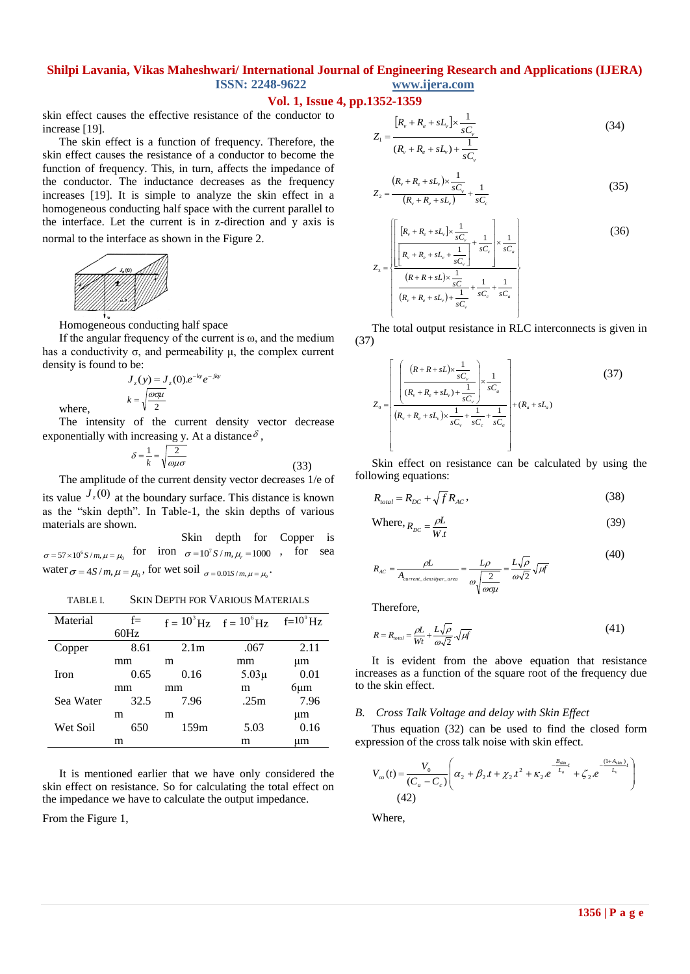#### **Vol. 1, Issue 4, pp.1352-1359**

skin effect causes the effective resistance of the conductor to increase [19].

The skin effect is a function of frequency. Therefore, the skin effect causes the resistance of a conductor to become the function of frequency. This, in turn, affects the impedance of the conductor. The inductance decreases as the frequency increases [19]. It is simple to analyze the skin effect in a homogeneous conducting half space with the current parallel to the interface. Let the current is in z-direction and y axis is normal to the interface as shown in the Figure 2.



where,

Homogeneous conducting half space

If the angular frequency of the current is  $\omega$ , and the medium has a conductivity  $\sigma$ , and permeability μ, the complex current density is found to be:

$$
J_z(y) = J_z(0).e^{-ky}e^{-jky}
$$

$$
k = \sqrt{\frac{\omega \sigma \mu}{2}}
$$

The intensity of the current density vector decrease exponentially with increasing y. At a distance  $\delta$ ,

$$
\delta = \frac{1}{k} = \sqrt{\frac{2}{\omega \mu \sigma}}
$$
(33)

The amplitude of the current density vector decreases 1/e of

its value  $J_z(0)$  at the boundary surface. This distance is known as the "skin depth". In Table-1, the skin depths of various materials are shown.

 Skin depth for Copper is  $\sigma = 57 \times 10^6$  *S* /*m*,  $\mu = \mu_0$  for iron  $\sigma = 10^7$  *S* / *m*,  $\mu_r = 1000$  , for sea water  $\sigma = 4S/m$ ,  $\mu = \mu_0$ , for wet soil  $\sigma = 0.01S/m$ ,  $\mu = \mu_0$ .

TABLE I. SKIN DEPTH FOR VARIOUS MATERIALS

| Material    | $f =$ |                  | $f = 10^{3}$ Hz $f = 10^{6}$ Hz | $f=10^9$ Hz |
|-------------|-------|------------------|---------------------------------|-------------|
|             | 60Hz  |                  |                                 |             |
| Copper      | 8.61  | 2.1 <sub>m</sub> | .067                            | 2.11        |
|             | mm    | m                | mm                              | μm          |
| <b>Iron</b> | 0.65  | 0.16             | $5.03\mu$                       | 0.01        |
|             | mm    | mm               | m                               | $6 \mu m$   |
| Sea Water   | 32.5  | 7.96             | .25m                            | 7.96        |
|             | m     | m                |                                 | μm          |
| Wet Soil    | 650   | 159m             | 5.03                            | 0.16        |
|             | m     |                  | m                               | um          |

It is mentioned earlier that we have only considered the skin effect on resistance. So for calculating the total effect on the impedance we have to calculate the output impedance.

From the Figure 1,

$$
Z_{1} = \frac{[R_{\nu} + R_{e} + sL_{\nu}] \times \frac{1}{sC_{\nu}}}{(R_{\nu} + R_{e} + sL_{\nu}) + \frac{1}{sC_{\nu}}}
$$
(34)

$$
Z_2 = \frac{(R_v + R_e + sL_v) \times \frac{1}{sC_v}}{(R_v + R_e + sL_v)} + \frac{1}{sC_e}
$$
\n(35)

$$
Z_{3} = \frac{\sqrt{\left[\frac{[R_{v} + R_{e} + sL_{v}] \times \frac{1}{sC_{v}}}{[R_{v} + R_{e} + sL_{v} + \frac{1}{sC_{v}}]} + \frac{1}{sC_{e}}\right] \times \frac{1}{sC_{a}}}{\frac{(R + R + sL) \times \frac{1}{sC_{v}}}{(R_{v} + R_{e} + sL_{v}) + \frac{1}{sC_{v}}} + \frac{1}{sC_{e}} + \frac{1}{sC_{a}}}
$$
(36)

The total output resistance in RLC interconnects is given in (37)

$$
Z_{0} = \left[ \frac{\left( (R + R + sL) \times \frac{1}{sC_{v}} \right)}{(R_{v} + R_{e} + sL_{v}) + \frac{1}{sC_{v}} \times \frac{1}{sC_{e}}} \right] \times \frac{1}{sC_{a}}
$$
(37)  

$$
Z_{0} = \left[ \frac{R_{v} + R_{e} + sL_{v}}{(R_{v} + R_{e} + sL_{v}) \times \frac{1}{sC_{v}} + \frac{1}{sC_{e}} + \frac{1}{sC_{a}}} \right] + (R_{a} + sL_{a})
$$

Skin effect on resistance can be calculated by using the following equations:

$$
R_{total} = R_{DC} + \sqrt{f} R_{AC},\tag{38}
$$

$$
P_{DC} = \frac{\rho L}{W t}
$$
 (39)

$$
R_{AC} = \frac{\rho L}{A_{current\_densityar\_area}} = \frac{L\rho}{\omega\sqrt{\frac{2}{\omega\sigma\mu}}} = \frac{L\sqrt{\rho}}{\omega\sqrt{2}}\sqrt{\mu f}
$$
(40)

Therefore,

 $\mathbf{W}$ 

$$
R = R_{total} = \frac{\rho L}{Wt} + \frac{L\sqrt{\rho}}{\omega\sqrt{2}} \cdot \sqrt{\mu f}
$$
(41)

It is evident from the above equation that resistance increases as a function of the square root of the frequency due to the skin effect.

#### *B. Cross Talk Voltage and delay with Skin Effect*

Thus equation (32) can be used to find the closed form expression of the cross talk noise with skin effect.

$$
V_{co}(t) = \frac{V_0}{(C_a - C_c)} \left( \alpha_2 + \beta_2 t + \chi_2 t^2 + \kappa_2 e^{-\frac{B_{\text{skip}}}{L_a}t} + \zeta_2 e^{-\frac{(1 + A_{\text{skip}})}{L_c}t} \right)
$$
\n(42)

Where,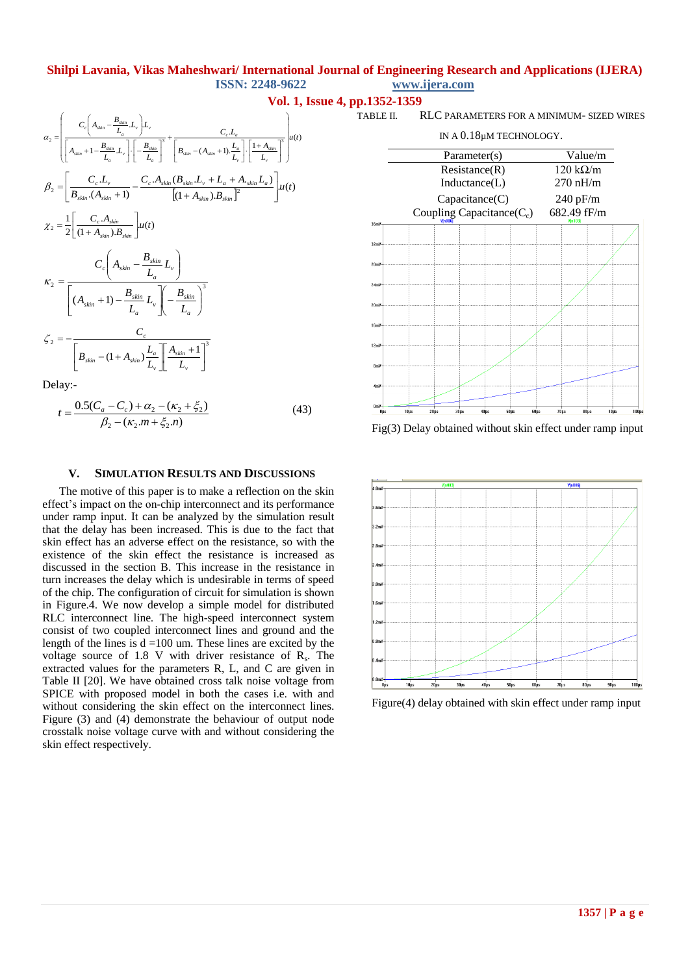$$
\alpha_{2} = \left( \frac{C_{c} \left( A_{\sin} - \frac{B_{\sin}}{L_{a}} L_{v} \right) L_{v}}{\left[ A_{\sin} + 1 - \frac{B_{\sin}}{L_{a}} L_{v} \right] \cdot \left[ -\frac{B_{\sin}}{L_{a}} \right]^{3}} + \frac{C_{c} L_{a}}{\left[ B_{\sin} - (A_{\sin} + 1) \cdot \frac{L_{a}}{L_{v}} \right] \cdot \left[ \frac{1 + A_{\sin}}{L_{v}} \right]^{3}} \right) u(t)
$$
\n
$$
\beta_{2} = \left[ \frac{C_{c} L_{v}}{B_{\sin} \cdot (A_{\sin} + 1)} - \frac{C_{c} A_{\sin} (B_{\sin} L_{v} + L_{a} + A_{\sin} L_{a})}{\left[ (1 + A_{\sin}) \cdot B_{\sin} \right]^{2}} \right] u(t)
$$
\n
$$
\chi_{2} = \frac{1}{2} \left[ \frac{C_{c} A_{\sin}}{(1 + A_{\sin}) B_{\sin}} \right] u(t)
$$
\n
$$
\kappa_{2} = \frac{C_{c} \left( A_{\sin} - \frac{B_{\sin}}{L_{a}} L_{v} \right)}{\left[ (A_{\sin} + 1) - \frac{B_{\sin}}{L_{a}} L_{v} \right] \left( -\frac{B_{\sin}}{L_{a}} \right)^{3}}
$$
\n
$$
\zeta_{2} = -\frac{C_{c}}{\left[ B_{\sin} - (1 + A_{\sin}) \frac{L_{a}}{L_{v}} \right] \cdot \left[ \frac{A_{\sin} + 1}{L_{v}} \right]^{3}}
$$
\nDence,  $\gamma_{2} = 1 - \frac{C_{c}}{\left[ B_{\sin} - (1 + A_{\sin}) \frac{L_{a}}{L_{v}} \right] \cdot \left[ \frac{A_{\sin} + 1}{L_{v}} \right]^{3}}$ 

Delay:-

$$
t = \frac{0.5(C_a - C_c) + \alpha_2 - (\kappa_2 + \xi_2)}{\beta_2 - (\kappa_2.m + \xi_2.n)}
$$
(43)

#### **V. SIMULATION RESULTS AND DISCUSSIONS**

The motive of this paper is to make a reflection on the skin effect"s impact on the on-chip interconnect and its performance under ramp input. It can be analyzed by the simulation result that the delay has been increased. This is due to the fact that skin effect has an adverse effect on the resistance, so with the existence of the skin effect the resistance is increased as discussed in the section B. This increase in the resistance in turn increases the delay which is undesirable in terms of speed of the chip. The configuration of circuit for simulation is shown in Figure.4. We now develop a simple model for distributed RLC interconnect line. The high-speed interconnect system consist of two coupled interconnect lines and ground and the length of the lines is  $d = 100$  um. These lines are excited by the voltage source of 1.8 V with driver resistance of  $R_s$ . The extracted values for the parameters R, L, and C are given in Table II [20]. We have obtained cross talk noise voltage from SPICE with proposed model in both the cases i.e. with and without considering the skin effect on the interconnect lines. Figure (3) and (4) demonstrate the behaviour of output node crosstalk noise voltage curve with and without considering the skin effect respectively.

# **Vol. 1, Issue 4, pp.1352-1359**

TABLE II. RLC PARAMETERS FOR A MINIMUM- SIZED WIRES

IN A 0.18µM TECHNOLOGY.



Fig(3) Delay obtained without skin effect under ramp input



Figure(4) delay obtained with skin effect under ramp input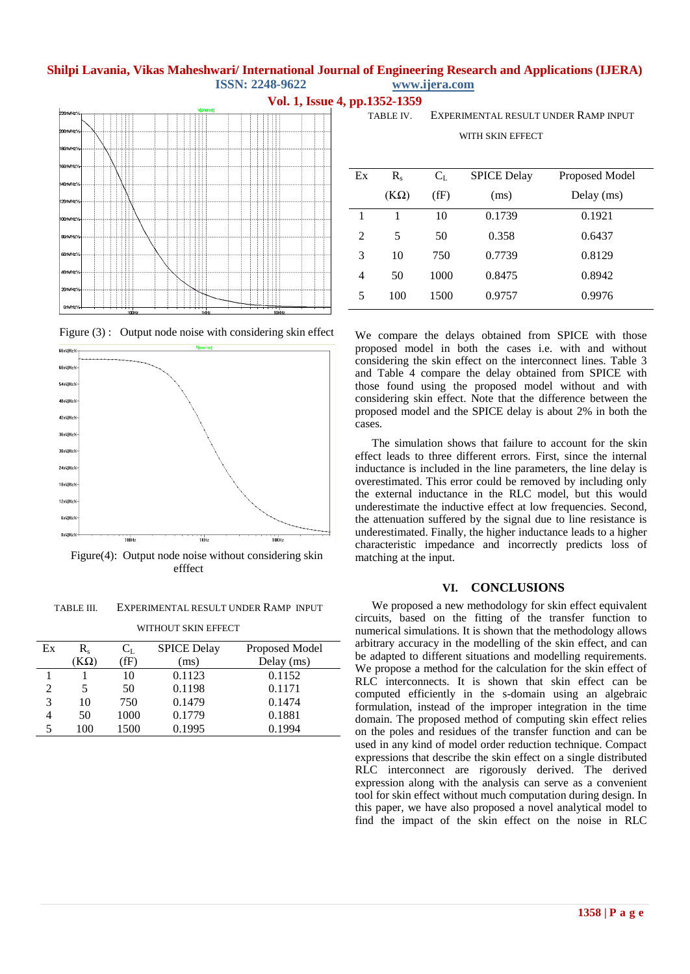



Figure(4): Output node noise without considering skin efffect

TABLE III. EXPERIMENTAL RESULT UNDER RAMP INPUT

| WITHOUT SKIN EFFECT |           |         |                    |                |  |  |  |
|---------------------|-----------|---------|--------------------|----------------|--|--|--|
| Ex                  | R.        | $C_{L}$ | <b>SPICE Delay</b> | Proposed Model |  |  |  |
|                     | $K\Omega$ | (fF)    | (ms)               | Delay (ms)     |  |  |  |
|                     |           | 10      | 0.1123             | 0.1152         |  |  |  |
| $\mathfrak{D}$      | 5         | 50      | 0.1198             | 0.1171         |  |  |  |
| 3                   | 10        | 750     | 0.1479             | 0.1474         |  |  |  |
|                     | 50        | 1000    | 0.1779             | 0.1881         |  |  |  |

5 100 1500 0.1995 0.1994

**Vol. 1, Issue 4, pp.1352-1359**

TABLE IV. EXPERIMENTAL RESULT UNDER RAMP INPUT

WITH SKIN EFFECT

| $R_{\rm c}$ | $C_{L}$ | <b>SPICE Delay</b> | Proposed Model |
|-------------|---------|--------------------|----------------|
| $(K\Omega)$ | (fF)    | (ms)               | Delay (ms)     |
|             | 10      | 0.1739             | 0.1921         |
| 5           | 50      | 0.358              | 0.6437         |
| 10          | 750     | 0.7739             | 0.8129         |
| 50          | 1000    | 0.8475             | 0.8942         |
| 100         | 1500    | 0.9757             | 0.9976         |
|             |         |                    |                |

We compare the delays obtained from SPICE with those proposed model in both the cases i.e. with and without considering the skin effect on the interconnect lines. Table 3 and Table 4 compare the delay obtained from SPICE with those found using the proposed model without and with considering skin effect. Note that the difference between the proposed model and the SPICE delay is about 2% in both the cases.

The simulation shows that failure to account for the skin effect leads to three different errors. First, since the internal inductance is included in the line parameters, the line delay is overestimated. This error could be removed by including only the external inductance in the RLC model, but this would underestimate the inductive effect at low frequencies. Second, the attenuation suffered by the signal due to line resistance is underestimated. Finally, the higher inductance leads to a higher characteristic impedance and incorrectly predicts loss of matching at the input.

#### **VI. CONCLUSIONS**

We proposed a new methodology for skin effect equivalent circuits, based on the fitting of the transfer function to numerical simulations. It is shown that the methodology allows arbitrary accuracy in the modelling of the skin effect, and can be adapted to different situations and modelling requirements. We propose a method for the calculation for the skin effect of RLC interconnects. It is shown that skin effect can be computed efficiently in the s-domain using an algebraic formulation, instead of the improper integration in the time domain. The proposed method of computing skin effect relies on the poles and residues of the transfer function and can be used in any kind of model order reduction technique. Compact expressions that describe the skin effect on a single distributed RLC interconnect are rigorously derived. The derived expression along with the analysis can serve as a convenient tool for skin effect without much computation during design. In this paper, we have also proposed a novel analytical model to find the impact of the skin effect on the noise in RLC